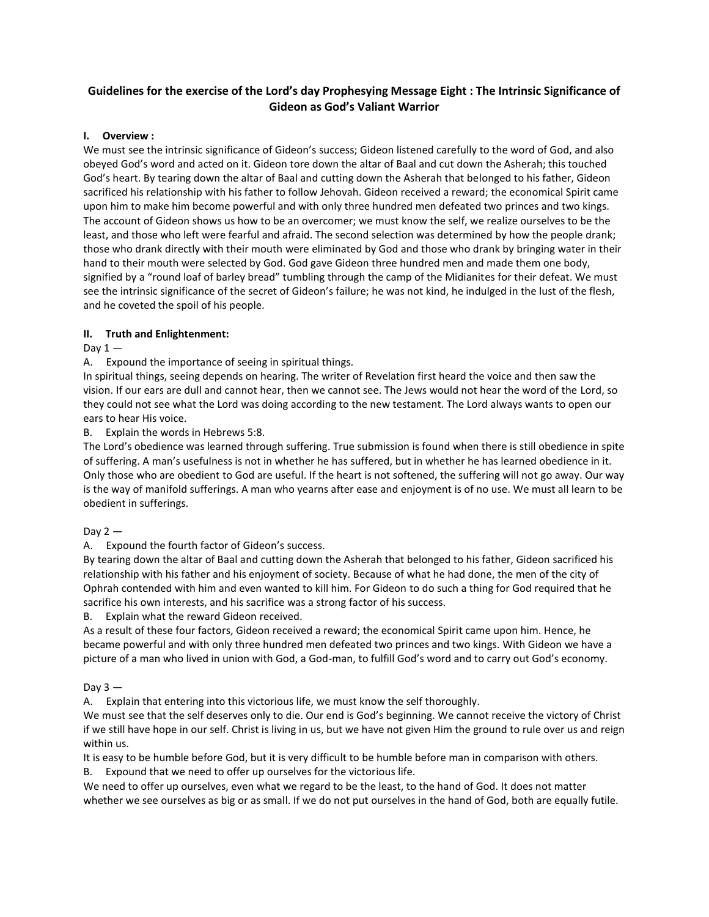# **Guidelines for the exercise of the Lord's day Prophesying Message Eight : The Intrinsic Significance of Gideon as God's Valiant Warrior**

# **I. Overview :**

We must see the intrinsic significance of Gideon's success; Gideon listened carefully to the word of God, and also obeyed God's word and acted on it. Gideon tore down the altar of Baal and cut down the Asherah; this touched God's heart. By tearing down the altar of Baal and cutting down the Asherah that belonged to his father, Gideon sacrificed his relationship with his father to follow Jehovah. Gideon received a reward; the economical Spirit came upon him to make him become powerful and with only three hundred men defeated two princes and two kings. The account of Gideon shows us how to be an overcomer; we must know the self, we realize ourselves to be the least, and those who left were fearful and afraid. The second selection was determined by how the people drank; those who drank directly with their mouth were eliminated by God and those who drank by bringing water in their hand to their mouth were selected by God. God gave Gideon three hundred men and made them one body, signified by a "round loaf of barley bread" tumbling through the camp of the Midianites for their defeat. We must see the intrinsic significance of the secret of Gideon's failure; he was not kind, he indulged in the lust of the flesh, and he coveted the spoil of his people.

# **II. Truth and Enlightenment:**

# Day  $1 -$

A. Expound the importance of seeing in spiritual things.

In spiritual things, seeing depends on hearing. The writer of Revelation first heard the voice and then saw the vision. If our ears are dull and cannot hear, then we cannot see. The Jews would not hear the word of the Lord, so they could not see what the Lord was doing according to the new testament. The Lord always wants to open our ears to hear His voice.

# B. Explain the words in Hebrews 5:8.

The Lord's obedience was learned through suffering. True submission is found when there is still obedience in spite of suffering. A man's usefulness is not in whether he has suffered, but in whether he has learned obedience in it. Only those who are obedient to God are useful. If the heart is not softened, the suffering will not go away. Our way is the way of manifold sufferings. A man who yearns after ease and enjoyment is of no use. We must all learn to be obedient in sufferings.

### Day  $2 -$

A. Expound the fourth factor of Gideon's success.

By tearing down the altar of Baal and cutting down the Asherah that belonged to his father, Gideon sacrificed his relationship with his father and his enjoyment of society. Because of what he had done, the men of the city of Ophrah contended with him and even wanted to kill him. For Gideon to do such a thing for God required that he sacrifice his own interests, and his sacrifice was a strong factor of his success.

B. Explain what the reward Gideon received.

As a result of these four factors, Gideon received a reward; the economical Spirit came upon him. Hence, he became powerful and with only three hundred men defeated two princes and two kings. With Gideon we have a picture of a man who lived in union with God, a God-man, to fulfill God's word and to carry out God's economy.

# Day  $3 -$

A. Explain that entering into this victorious life, we must know the self thoroughly.

We must see that the self deserves only to die. Our end is God's beginning. We cannot receive the victory of Christ if we still have hope in our self. Christ is living in us, but we have not given Him the ground to rule over us and reign within us.

It is easy to be humble before God, but it is very difficult to be humble before man in comparison with others.

B. Expound that we need to offer up ourselves for the victorious life.

We need to offer up ourselves, even what we regard to be the least, to the hand of God. It does not matter whether we see ourselves as big or as small. If we do not put ourselves in the hand of God, both are equally futile.